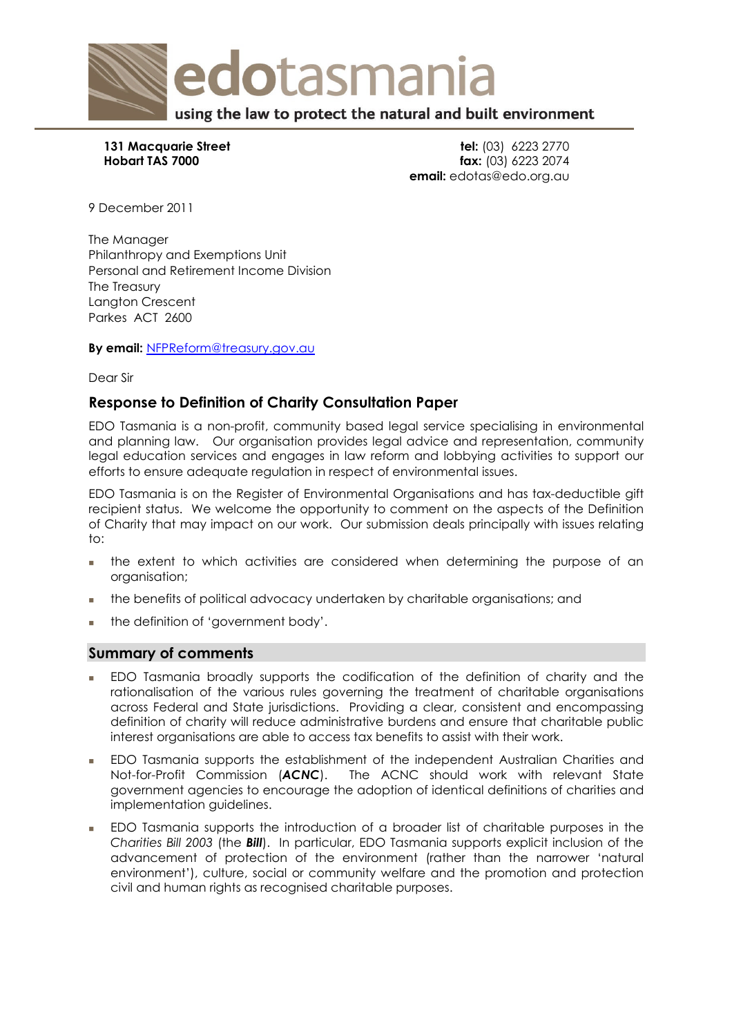

**131 Macquarie Street tel: (03) 6223 2770<br>
<b>131 Macquarie Street tel: (03) 6223 2770**<br> **141 Februarie Street tel: (03) 6223 2074 fax:** (03) 6223 2074 **email:** edotas@edo.org.au

9 December 2011

The Manager Philanthropy and Exemptions Unit Personal and Retirement Income Division The Treasury Langton Crescent Parkes ACT 2600

**By email:** [NFPReform@treasury.gov.au](mailto:NFPReform@treasury.gov.au) 

Dear Sir

# **Response to Definition of Charity Consultation Paper**

EDO Tasmania is a non-profit, community based legal service specialising in environmental and planning law. Our organisation provides legal advice and representation, community legal education services and engages in law reform and lobbying activities to support our efforts to ensure adequate regulation in respect of environmental issues.

EDO Tasmania is on the Register of Environmental Organisations and has tax-deductible gift recipient status. We welcome the opportunity to comment on the aspects of the Definition of Charity that may impact on our work. Our submission deals principally with issues relating to:

- the extent to which activities are considered when determining the purpose of an organisation;
- the benefits of political advocacy undertaken by charitable organisations; and
- the definition of 'government body'.

## **Summary of comments**

- EDO Tasmania broadly supports the codification of the definition of charity and the rationalisation of the various rules governing the treatment of charitable organisations across Federal and State jurisdictions. Providing a clear, consistent and encompassing definition of charity will reduce administrative burdens and ensure that charitable public interest organisations are able to access tax benefits to assist with their work.
- EDO Tasmania supports the establishment of the independent Australian Charities and Not-for-Profit Commission (*ACNC*). The ACNC should work with relevant State government agencies to encourage the adoption of identical definitions of charities and implementation guidelines.
- EDO Tasmania supports the introduction of a broader list of charitable purposes in the *Charities Bill 2003* (the *Bill*). In particular, EDO Tasmania supports explicit inclusion of the advancement of protection of the environment (rather than the narrower 'natural environment'), culture, social or community welfare and the promotion and protection civil and human rights as recognised charitable purposes.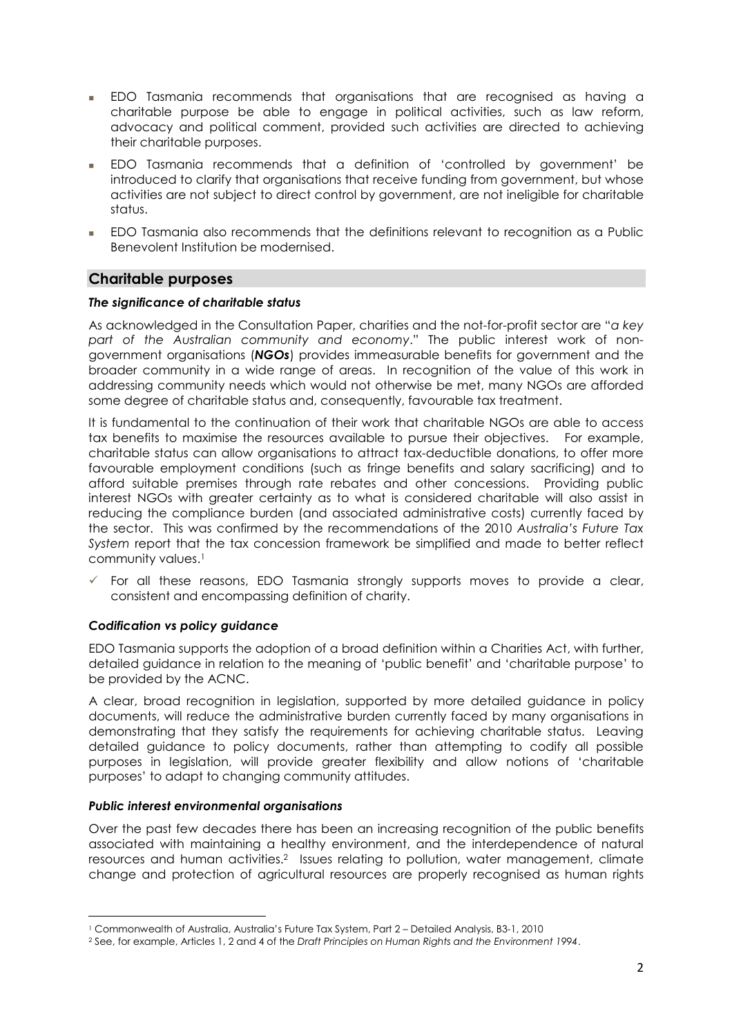- EDO Tasmania recommends that organisations that are recognised as having a charitable purpose be able to engage in political activities, such as law reform, advocacy and political comment, provided such activities are directed to achieving their charitable purposes.
- EDO Tasmania recommends that a definition of 'controlled by government' be introduced to clarify that organisations that receive funding from government, but whose activities are not subject to direct control by government, are not ineligible for charitable status.
- EDO Tasmania also recommends that the definitions relevant to recognition as a Public Benevolent Institution be modernised.

# **Charitable purposes**

#### *The significance of charitable status*

As acknowledged in the Consultation Paper, charities and the not-for-profit sector are "*a key part of the Australian community and economy*." The public interest work of nongovernment organisations (*NGOs*) provides immeasurable benefits for government and the broader community in a wide range of areas. In recognition of the value of this work in addressing community needs which would not otherwise be met, many NGOs are afforded some degree of charitable status and, consequently, favourable tax treatment.

It is fundamental to the continuation of their work that charitable NGOs are able to access tax benefits to maximise the resources available to pursue their objectives. For example, charitable status can allow organisations to attract tax-deductible donations, to offer more favourable employment conditions (such as fringe benefits and salary sacrificing) and to afford suitable premises through rate rebates and other concessions. Providing public interest NGOs with greater certainty as to what is considered charitable will also assist in reducing the compliance burden (and associated administrative costs) currently faced by the sector. This was confirmed by the recommendations of the 2010 *Australia's Future Tax System* report that the tax concession framework be simplified and made to better reflect community values.<sup>1</sup>

 For all these reasons, EDO Tasmania strongly supports moves to provide a clear, consistent and encompassing definition of charity.

## *Codification vs policy guidance*

EDO Tasmania supports the adoption of a broad definition within a Charities Act, with further, detailed guidance in relation to the meaning of 'public benefit' and 'charitable purpose' to be provided by the ACNC.

A clear, broad recognition in legislation, supported by more detailed guidance in policy documents, will reduce the administrative burden currently faced by many organisations in demonstrating that they satisfy the requirements for achieving charitable status. Leaving detailed guidance to policy documents, rather than attempting to codify all possible purposes in legislation, will provide greater flexibility and allow notions of 'charitable purposes' to adapt to changing community attitudes.

#### *Public interest environmental organisations*

Over the past few decades there has been an increasing recognition of the public benefits associated with maintaining a healthy environment, and the interdependence of natural resources and human activities.[2](#page-1-1) Issues relating to pollution, water management, climate change and protection of agricultural resources are properly recognised as human rights

<span id="page-1-1"></span><span id="page-1-0"></span><sup>1</sup> Commonwealth of Australia, Australia's Future Tax System, Part 2 – Detailed Analysis, B3-1, 2010

<sup>2</sup> See, for example, Articles 1, 2 and 4 of the *Draft Principles on Human Rights and the Environment 1994*.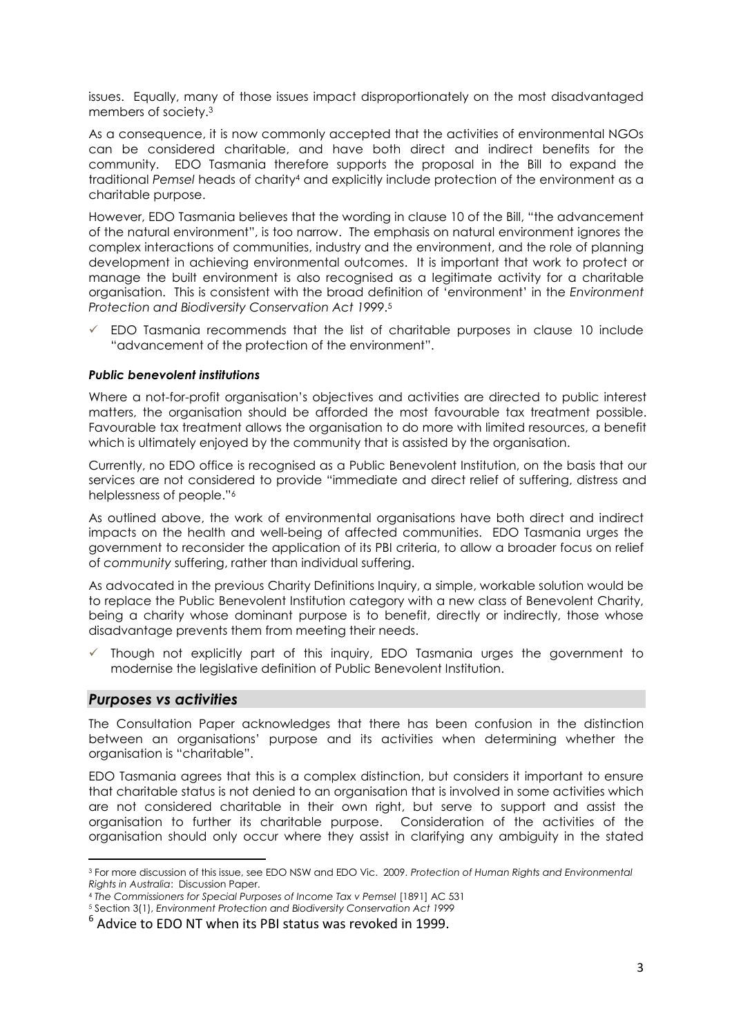issues. Equally, many of those issues impact disproportionately on the most disadvantaged members of society[.3](#page-2-0) 

As a consequence, it is now commonly accepted that the activities of environmental NGOs can be considered charitable, and have both direct and indirect benefits for the community. EDO Tasmania therefore supports the proposal in the Bill to expand the traditional *Pemsel* heads of charit[y4](#page-2-1) and explicitly include protection of the environment as a charitable purpose.

However, EDO Tasmania believes that the wording in clause 10 of the Bill, "the advancement of the natural environment", is too narrow. The emphasis on natural environment ignores the complex interactions of communities, industry and the environment, and the role of planning development in achieving environmental outcomes. It is important that work to protect or manage the built environment is also recognised as a legitimate activity for a charitable organisation. This is consistent with the broad definition of 'environment' in the *Environment Protection and Biodiversity Conservation Act 1999*.[5](#page-2-2) 

 EDO Tasmania recommends that the list of charitable purposes in clause 10 include "advancement of the protection of the environment".

#### *Public benevolent institutions*

Where a not-for-profit organisation's objectives and activities are directed to public interest matters, the organisation should be afforded the most favourable tax treatment possible. Favourable tax treatment allows the organisation to do more with limited resources, a benefit which is ultimately enjoyed by the community that is assisted by the organisation.

Currently, no EDO office is recognised as a Public Benevolent Institution, on the basis that our services are not considered to provide "immediate and direct relief of suffering, distress and helplessness of people."[6](#page-2-3) 

As outlined above, the work of environmental organisations have both direct and indirect impacts on the health and well-being of affected communities. EDO Tasmania urges the government to reconsider the application of its PBI criteria, to allow a broader focus on relief of *community* suffering, rather than individual suffering.

As advocated in the previous Charity Definitions Inquiry, a simple, workable solution would be to replace the Public Benevolent Institution category with a new class of Benevolent Charity, being a charity whose dominant purpose is to benefit, directly or indirectly, those whose disadvantage prevents them from meeting their needs.

 $\checkmark$  Though not explicitly part of this inquiry, EDO Tasmania urges the government to modernise the legislative definition of Public Benevolent Institution.

## *Purposes vs activities*

The Consultation Paper acknowledges that there has been confusion in the distinction between an organisations' purpose and its activities when determining whether the organisation is "charitable".

EDO Tasmania agrees that this is a complex distinction, but considers it important to ensure that charitable status is not denied to an organisation that is involved in some activities which are not considered charitable in their own right, but serve to support and assist the organisation to further its charitable purpose. Consideration of the activities of the organisation should only occur where they assist in clarifying any ambiguity in the stated

<span id="page-2-0"></span><sup>3</sup> For more discussion of this issue, see EDO NSW and EDO Vic. 2009. *Protection of Human Rights and Environmental Rights in Australia: Discussion Paper.*<br>4 *The Commissioners for Special Purposes of Income Tax v Pemsel [1891] AC 531*<br>5 Section 3(1), *Environment Protection and Biodiversity Conservation Act 1999* 

<span id="page-2-2"></span><span id="page-2-1"></span>

<span id="page-2-3"></span>

<sup>6</sup> Advice to EDO NT when its PBI status was revoked in 1999.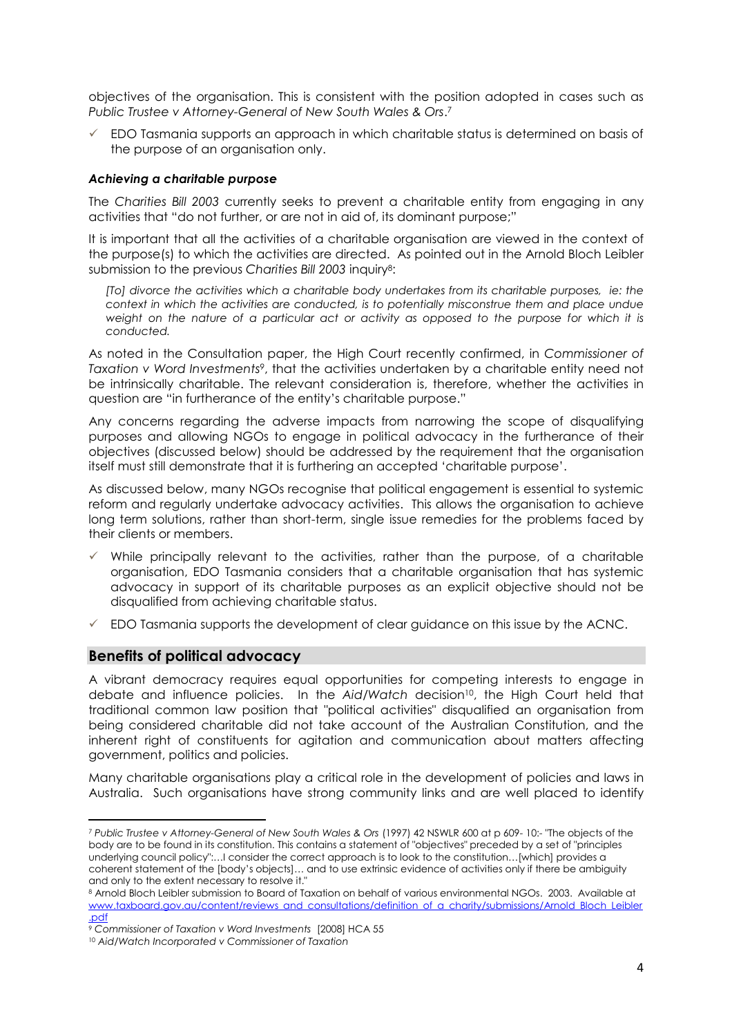objectives of the organisation. This is consistent with the position adopted in cases such as *Public Trustee v Attorney-General of New South Wales & Ors*.[7](#page-3-0) 

 $\checkmark$  EDO Tasmania supports an approach in which charitable status is determined on basis of the purpose of an organisation only.

#### *Achieving a charitable purpose*

The *Charities Bill 2003* currently seeks to prevent a charitable entity from engaging in any activities that "do not further, or are not in aid of, its dominant purpose;"

It is important that all the activities of a charitable organisation are viewed in the context of the purpose(s) to which the activities are directed. As pointed out in the Arnold Bloch Leibler submission to the previous *Charities Bill 2003* inquiry[8:](#page-3-1) 

*[To] divorce the activities which a charitable body undertakes from its charitable purposes, ie: the context in which the activities are conducted, is to potentially misconstrue them and place undue weight on the nature of a particular act or activity as opposed to the purpose for which it is conducted.* 

As noted in the Consultation paper, the High Court recently confirmed, in *Commissioner of Taxation v Word Investments9*[,](#page-3-2) that the activities undertaken by a charitable entity need not be intrinsically charitable. The relevant consideration is, therefore, whether the activities in question are "in furtherance of the entity's charitable purpose."

Any concerns regarding the adverse impacts from narrowing the scope of disqualifying purposes and allowing NGOs to engage in political advocacy in the furtherance of their objectives (discussed below) should be addressed by the requirement that the organisation itself must still demonstrate that it is furthering an accepted 'charitable purpose'.

As discussed below, many NGOs recognise that political engagement is essential to systemic reform and regularly undertake advocacy activities. This allows the organisation to achieve long term solutions, rather than short-term, single issue remedies for the problems faced by their clients or members.

- $\checkmark$  While principally relevant to the activities, rather than the purpose, of a charitable organisation, EDO Tasmania considers that a charitable organisation that has systemic advocacy in support of its charitable purposes as an explicit objective should not be disqualified from achieving charitable status.
- $\checkmark$  EDO Tasmania supports the development of clear guidance on this issue by the ACNC.

## **Benefits of political advocacy**

A vibrant democracy requires equal opportunities for competing interests to engage in debate and influence policies. In the *Aid/Watch* decision[10,](#page-3-3) the High Court held that traditional common law position that "political activities" disqualified an organisation from being considered charitable did not take account of the Australian Constitution, and the inherent right of constituents for agitation and communication about matters affecting government, politics and policies.

Many charitable organisations play a critical role in the development of policies and laws in Australia. Such organisations have strong community links and are well placed to identify

<span id="page-3-0"></span><sup>7</sup>*Public Trustee v Attorney-General of New South Wales & Ors* (1997) 42 NSWLR 600 at p 609- 10:- "The objects of the body are to be found in its constitution. This contains a statement of "objectives" preceded by a set of "principles underlying council policy":…I consider the correct approach is to look to the constitution…[which] provides a coherent statement of the [body's objects]… and to use extrinsic evidence of activities only if there be ambiguity and only to the extent necessary to resolve it."

<span id="page-3-1"></span><sup>8</sup> Arnold Bloch Leibler submission to Board of Taxation on behalf of various environmental NGOs. 2003. Available at www.taxboard.gov.au/content/reviews\_and\_consultations/definition\_of\_a\_charity/submissions/Arnold\_Bloch\_Leibler

<span id="page-3-2"></span><sup>&</sup>lt;u>.pdf</u><br>? Commissioner of Taxation v Word Investments [2008] HCA 55

<span id="page-3-3"></span><sup>&</sup>lt;sup>10</sup> Aid/Watch Incorporated v Commissioner of Taxation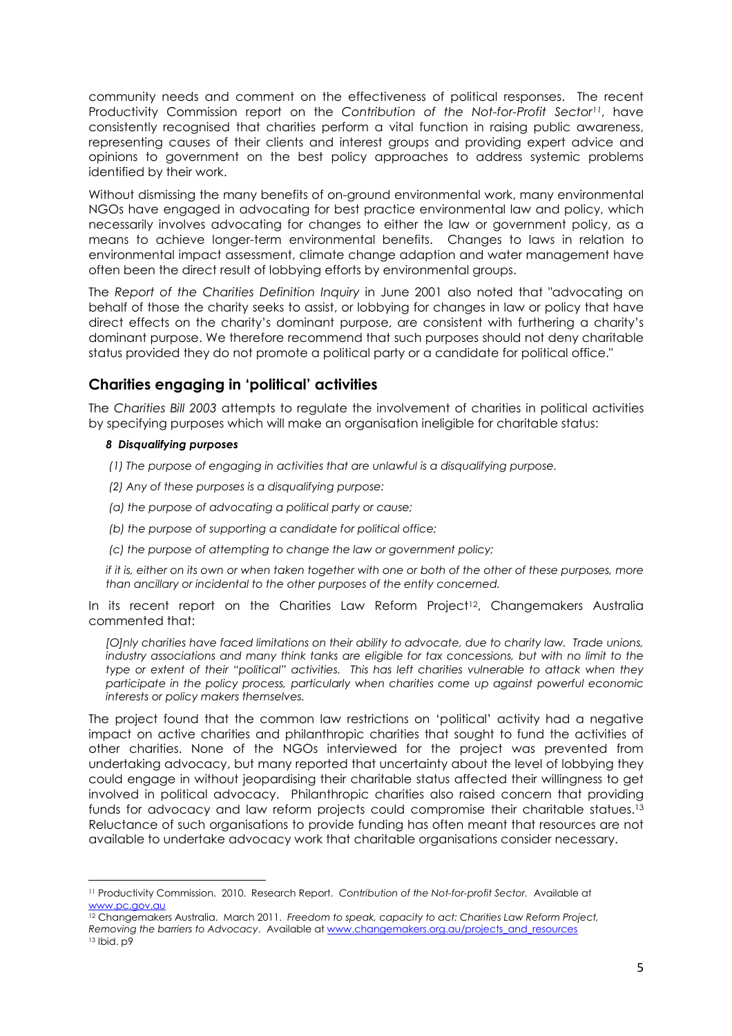community needs and comment on the effectiveness of political responses. The recent Productivity Commission report on the *Contribution of the Not-for-Profit Sector[11](#page-4-0)*, have consistently recognised that charities perform a vital function in raising public awareness, representing causes of their clients and interest groups and providing expert advice and opinions to government on the best policy approaches to address systemic problems identified by their work.

Without dismissing the many benefits of on-ground environmental work, many environmental NGOs have engaged in advocating for best practice environmental law and policy, which necessarily involves advocating for changes to either the law or government policy, as a means to achieve longer-term environmental benefits. Changes to laws in relation to environmental impact assessment, climate change adaption and water management have often been the direct result of lobbying efforts by environmental groups.

The *Report of the Charities Definition Inquiry* in June 2001 also noted that "advocating on behalf of those the charity seeks to assist, or lobbying for changes in law or policy that have direct effects on the charity's dominant purpose, are consistent with furthering a charity's dominant purpose. We therefore recommend that such purposes should not deny charitable status provided they do not promote a political party or a candidate for political office."

# **Charities engaging in 'political' activities**

The *Charities Bill 2003* attempts to regulate the involvement of charities in political activities by specifying purposes which will make an organisation ineligible for charitable status:

#### *8 Disqualifying purposes*

*(1) The purpose of engaging in activities that are unlawful is a disqualifying purpose.* 

- *(2) Any of these purposes is a disqualifying purpose:*
- *(a) the purpose of advocating a political party or cause;*
- *(b) the purpose of supporting a candidate for political office;*
- *(c) the purpose of attempting to change the law or government policy;*

*if it is, either on its own or when taken together with one or both of the other of these purposes, more than ancillary or incidental to the other purposes of the entity concerned.* 

In its recent report on the Charities Law Reform Project<sup>12</sup>, Changemakers Australia commented that:

*[O]nly charities have faced limitations on their ability to advocate, due to charity law. Trade unions, industry associations and many think tanks are eligible for tax concessions, but with no limit to the type or extent of their "political" activities. This has left charities vulnerable to attack when they participate in the policy process, particularly when charities come up against powerful economic interests or policy makers themselves.* 

The project found that the common law restrictions on 'political' activity had a negative impact on active charities and philanthropic charities that sought to fund the activities of other charities. None of the NGOs interviewed for the project was prevented from undertaking advocacy, but many reported that uncertainty about the level of lobbying they could engage in without jeopardising their charitable status affected their willingness to get involved in political advocacy. Philanthropic charities also raised concern that providing funds for advocacy and law reform projects could compromise their charitable statues[.13](#page-4-2)  Reluctance of such organisations to provide funding has often meant that resources are not available to undertake advocacy work that charitable organisations consider necessary.

<span id="page-4-0"></span><sup>11</sup> Productivity Commission. 2010. Research Report. *Contribution of the Not-for-profit Sector.* Available at www.pc.gov.au

<span id="page-4-2"></span><span id="page-4-1"></span><sup>12</sup> Changemakers Australia. March 2011. *Freedom to speak, capacity to act: Charities Law Reform Project, Removing the barriers to Advocacy.* Available at www.changemakers.org.au/projects and resources 13 Ibid. p9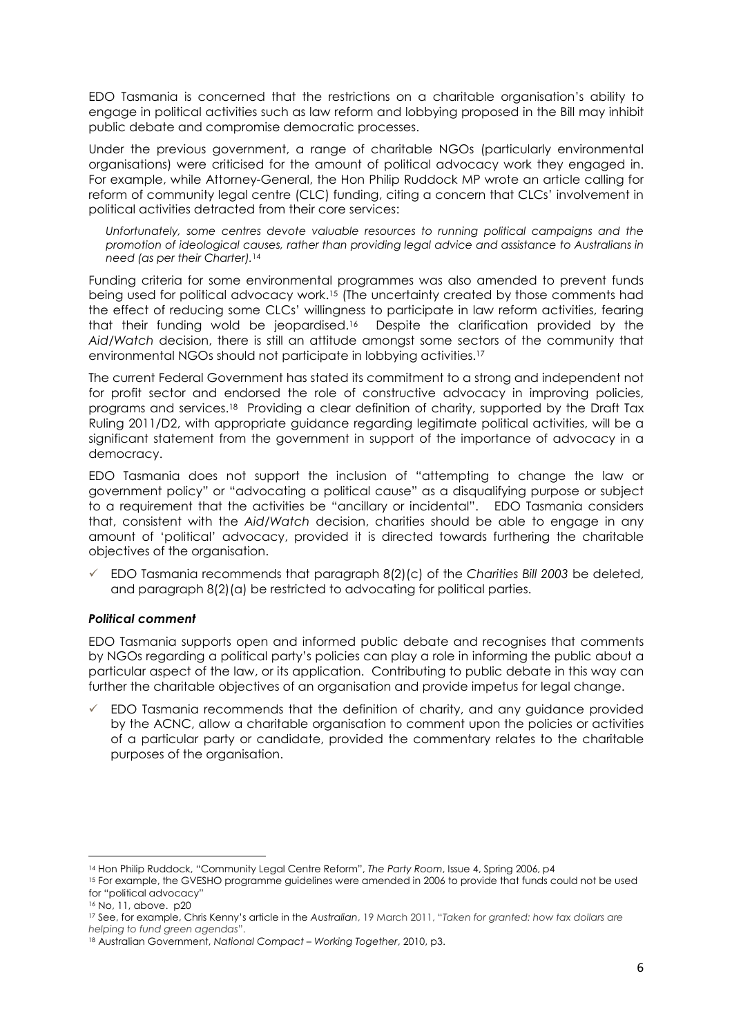EDO Tasmania is concerned that the restrictions on a charitable organisation's ability to engage in political activities such as law reform and lobbying proposed in the Bill may inhibit public debate and compromise democratic processes.

Under the previous government, a range of charitable NGOs (particularly environmental organisations) were criticised for the amount of political advocacy work they engaged in. For example, while Attorney-General, the Hon Philip Ruddock MP wrote an article calling for reform of community legal centre (CLC) funding, citing a concern that CLCs' involvement in political activities detracted from their core services:

*Unfortunately, some centres devote valuable resources to running political campaigns and the promotion of ideological causes, rather than providing legal advice and assistance to Australians in need (as per their Charter).*[14](#page-5-0) 

Funding criteria for some environmental programmes was also amended to prevent funds being used for political advocacy work.1[5 \(T](#page-5-1)he uncertainty created by those comments had the effect of reducing some CLCs' willingness to participate in law reform activities, fearing that their funding wold be jeopardised.[16](#page-5-2) Despite the clarification provided by the *Aid/Watch* decision, there is still an attitude amongst some sectors of the community that environmental NGOs should not participate in lobbying activities.[17](#page-5-3) 

The current Federal Government has stated its commitment to a strong and independent not for profit sector and endorsed the role of constructive advocacy in improving policies, programs and services[.18](#page-5-4) Providing a clear definition of charity, supported by the Draft Tax Ruling 2011/D2, with appropriate guidance regarding legitimate political activities, will be a significant statement from the government in support of the importance of advocacy in a democracy.

EDO Tasmania does not support the inclusion of "attempting to change the law or government policy" or "advocating a political cause" as a disqualifying purpose or subject to a requirement that the activities be "ancillary or incidental". EDO Tasmania considers that, consistent with the *Aid/Watch* decision, charities should be able to engage in any amount of 'political' advocacy, provided it is directed towards furthering the charitable objectives of the organisation.

 EDO Tasmania recommends that paragraph 8(2)(c) of the *Charities Bill 2003* be deleted, and paragraph 8(2)(a) be restricted to advocating for political parties.

## *Political comment*

EDO Tasmania supports open and informed public debate and recognises that comments by NGOs regarding a political party's policies can play a role in informing the public about a particular aspect of the law, or its application. Contributing to public debate in this way can further the charitable objectives of an organisation and provide impetus for legal change.

 EDO Tasmania recommends that the definition of charity, and any guidance provided by the ACNC, allow a charitable organisation to comment upon the policies or activities of a particular party or candidate, provided the commentary relates to the charitable purposes of the organisation.

<span id="page-5-1"></span><span id="page-5-0"></span>

<sup>&</sup>lt;sup>14</sup> Hon Philip Ruddock, "Community Legal Centre Reform", *The Party Room*, Issue 4, Spring 2006, p4<br><sup>15</sup> For example, the GVESHO programme guidelines were amended in 2006 to provide that funds could not be used for "political advocacy"

<span id="page-5-3"></span><span id="page-5-2"></span>

<sup>&</sup>lt;sup>16</sup> No, 11, above. p20<br><sup>17</sup> See, for example, Chris Kenny's article in the Australian, 19 March 2011, "*Taken for granted: how tax dollars are helping to fund green agendas*". 18 Australian Government, *National Compact – Working Together*, 2010, p3.

<span id="page-5-4"></span>